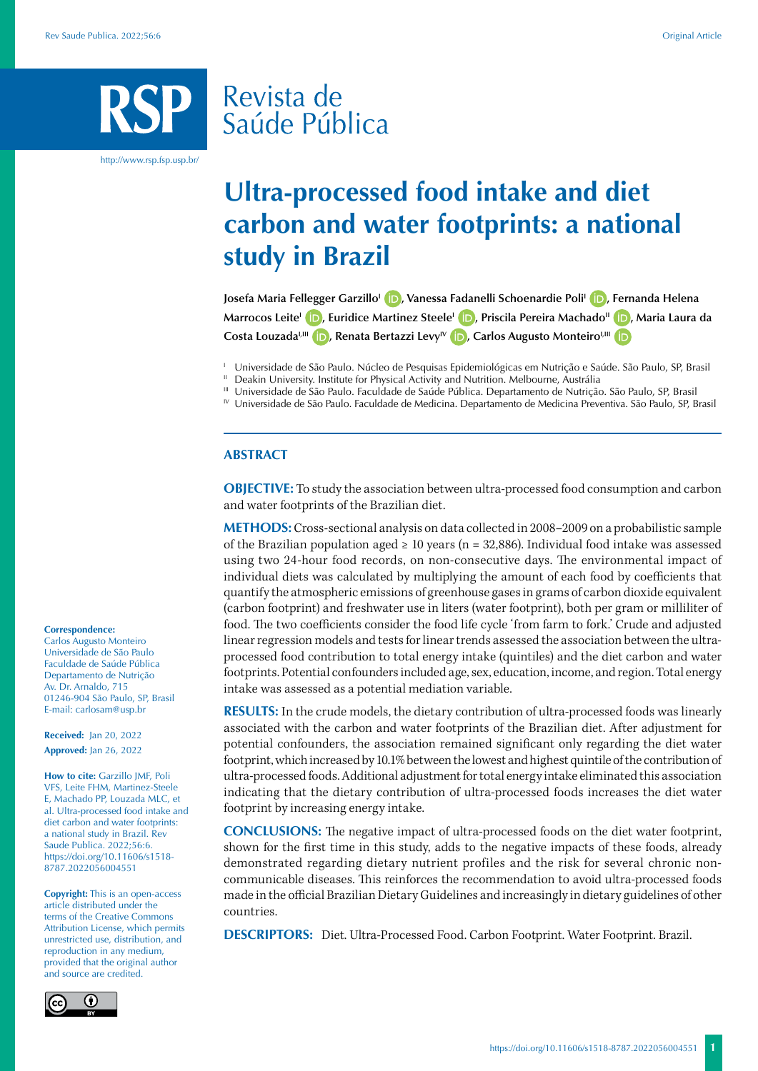# Revista de Saúde Pública

http://www.rsp.fsp.usp.br/

## **Ultra-processed food intake and diet carbon and water footprints: a national study in Brazil**

**Josefa Maria Fellegger GarzilloI [,](https://orcid.org/0000-0003-1671-5134) Vanessa Fadanelli Schoenardie PoliI [,](https://orcid.org/0000-0002-7890-9770) Fernanda Helena Marrocos LeiteI [,](https://orcid.org/0000-0003-0470-1974) Euridice Martinez SteeleI [,](https://orcid.org/0000-0002-2907-3153) Priscila Pereira MachadoII [,](https://orcid.org/0000-0003-4607-5094) Maria Laura da**  Costa Louzada<sup>I[,](https://orcid.org/0000-0001-5388-7002)III</sup> **D**[,](https://orcid.org/0000-0002-3756-2301) Renata Bertazzi Levy<sup>IV</sup> **D**, Carlos Augusto Monteiro<sup>I,III</sup> **D** 

<sup>1</sup> Universidade de São Paulo. Núcleo de Pesquisas Epidemiológicas em Nutrição e Saúde. São Paulo, SP, Brasil

Deakin University. Institute for Physical Activity and Nutrition. Melbourne, Austrália

IV Universidade de São Paulo. Faculdade de Medicina. Departamento de Medicina Preventiva. São Paulo, SP, Brasil

#### **ABSTRACT**

**OBJECTIVE:** To study the association between ultra-processed food consumption and carbon and water footprints of the Brazilian diet.

**METHODS:** Cross-sectional analysis on data collected in 2008–2009 on a probabilistic sample of the Brazilian population aged  $\geq 10$  years (n = 32,886). Individual food intake was assessed using two 24-hour food records, on non-consecutive days. The environmental impact of individual diets was calculated by multiplying the amount of each food by coefficients that quantify the atmospheric emissions of greenhouse gases in grams of carbon dioxide equivalent (carbon footprint) and freshwater use in liters (water footprint), both per gram or milliliter of food. The two coefficients consider the food life cycle 'from farm to fork.' Crude and adjusted linear regression models and tests for linear trends assessed the association between the ultraprocessed food contribution to total energy intake (quintiles) and the diet carbon and water footprints. Potential confounders included age, sex, education, income, and region. Total energy intake was assessed as a potential mediation variable.

**RESULTS:** In the crude models, the dietary contribution of ultra-processed foods was linearly associated with the carbon and water footprints of the Brazilian diet. After adjustment for potential confounders, the association remained significant only regarding the diet water footprint, which increased by 10.1% between the lowest and highest quintile of the contribution of ultra-processed foods. Additional adjustment for total energy intake eliminated this association indicating that the dietary contribution of ultra-processed foods increases the diet water footprint by increasing energy intake.

**CONCLUSIONS:** The negative impact of ultra-processed foods on the diet water footprint, shown for the first time in this study, adds to the negative impacts of these foods, already demonstrated regarding dietary nutrient profiles and the risk for several chronic noncommunicable diseases. This reinforces the recommendation to avoid ultra-processed foods made in the official Brazilian Dietary Guidelines and increasingly in dietary guidelines of other countries.

**DESCRIPTORS:** Diet. Ultra-Processed Food. Carbon Footprint. Water Footprint. Brazil.

#### **Correspondence:**

Carlos Augusto Monteiro Universidade de São Paulo Faculdade de Saúde Pública Departamento de Nutrição Av. Dr. Arnaldo, 715 01246-904 São Paulo, SP, Brasil E-mail: [carlosam@usp.br](mailto:carlosam@usp.br)

**Received:** Jan 20, 2022 **Approved:** Jan 26, 2022

**How to cite:** Garzillo JMF, Poli VFS, Leite FHM, Martinez-Steele E, Machado PP, Louzada MLC, et al. Ultra-processed food intake and diet carbon and water footprints: a national study in Brazil. Rev Saude Publica. 2022;56:6. [https://doi.org/10.11606/s1518-](https://doi.org/10.11606/s1518-8787.2021055003680) [8787.202205600](https://doi.org/10.11606/s1518-8787.2021055003680)4551

**Copyright:** This is an open-access article distributed under the terms of the Creative Commons Attribution License, which permits unrestricted use, distribution, and reproduction in any medium, provided that the original author and source are credited.



III Universidade de São Paulo. Faculdade de Saúde Pública. Departamento de Nutrição. São Paulo, SP, Brasil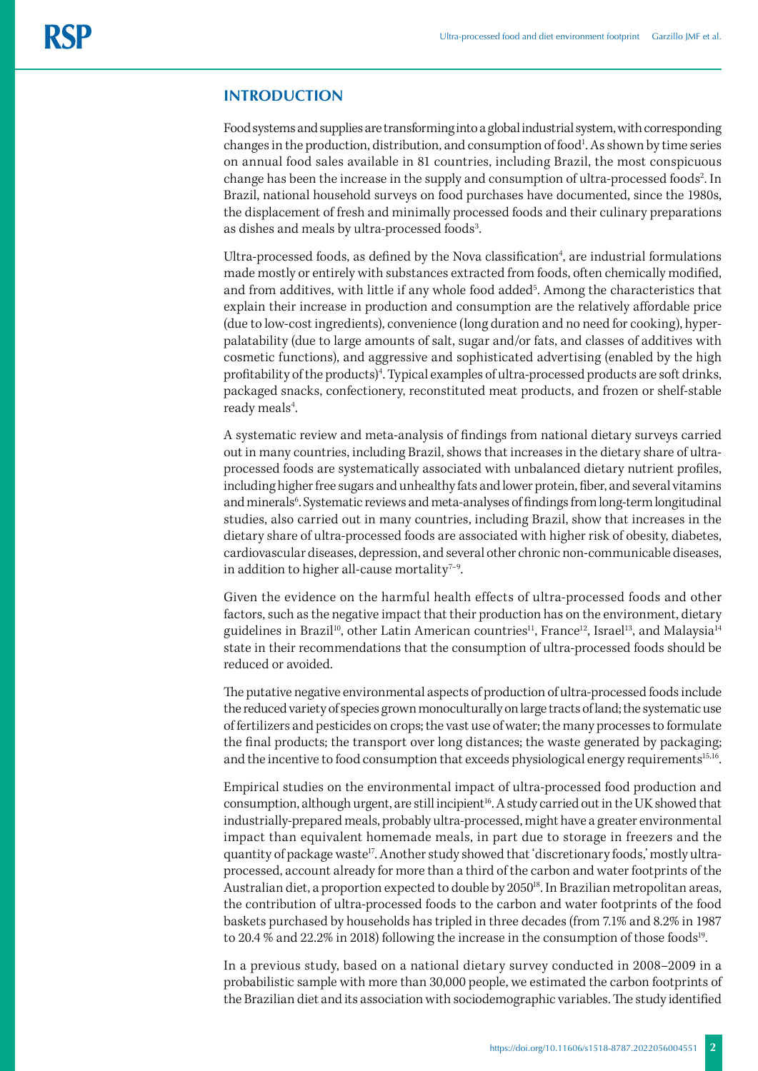#### **INTRODUCTION**

Food systems and supplies are transforming into a global industrial system, with corresponding changes in the production, distribution, and consumption of food<sup>1</sup>. As shown by time series on annual food sales available in 81 countries, including Brazil, the most conspicuous change has been the increase in the supply and consumption of ultra-processed foods<sup>2</sup>. In Brazil, national household surveys on food purchases have documented, since the 1980s, the displacement of fresh and minimally processed foods and their culinary preparations as dishes and meals by ultra-processed foods<sup>3</sup>. .

Ultra-processed foods, as defined by the Nova classification<sup>4</sup>, are industrial formulations made mostly or entirely with substances extracted from foods, often chemically modified, and from additives, with little if any whole food added<sup>5</sup>. Among the characteristics that explain their increase in production and consumption are the relatively affordable price (due to low-cost ingredients), convenience (long duration and no need for cooking), hyperpalatability (due to large amounts of salt, sugar and/or fats, and classes of additives with cosmetic functions), and aggressive and sophisticated advertising (enabled by the high profitability of the products)<sup>4</sup>. Typical examples of ultra-processed products are soft drinks, packaged snacks, confectionery, reconstituted meat products, and frozen or shelf-stable ready meals<sup>4</sup>. .

A systematic review and meta-analysis of findings from national dietary surveys carried out in many countries, including Brazil, shows that increases in the dietary share of ultraprocessed foods are systematically associated with unbalanced dietary nutrient profiles, including higher free sugars and unhealthy fats and lower protein, fiber, and several vitamins and minerals<sup>6</sup>. Systematic reviews and meta-analyses of findings from long-term longitudinal studies, also carried out in many countries, including Brazil, show that increases in the dietary share of ultra-processed foods are associated with higher risk of obesity, diabetes, cardiovascular diseases, depression, and several other chronic non-communicable diseases, in addition to higher all-cause mortality<sup> $7-9$ </sup>.

Given the evidence on the harmful health effects of ultra-processed foods and other factors, such as the negative impact that their production has on the environment, dietary guidelines in Brazil<sup>10</sup>, other Latin American countries<sup>11</sup>, France<sup>12</sup>, Israel<sup>13</sup>, and Malaysia<sup>14</sup> state in their recommendations that the consumption of ultra-processed foods should be reduced or avoided.

The putative negative environmental aspects of production of ultra-processed foods include the reduced variety of species grown monoculturally on large tracts of land; the systematic use of fertilizers and pesticides on crops; the vast use of water; the many processes to formulate the final products; the transport over long distances; the waste generated by packaging; and the incentive to food consumption that exceeds physiological energy requirements<sup>15,16</sup>.

Empirical studies on the environmental impact of ultra-processed food production and consumption, although urgent, are still incipient<sup>16</sup>. A study carried out in the UK showed that industrially-prepared meals, probably ultra-processed, might have a greater environmental impact than equivalent homemade meals, in part due to storage in freezers and the quantity of package waste<sup>17</sup>. Another study showed that 'discretionary foods,' mostly ultraprocessed, account already for more than a third of the carbon and water footprints of the Australian diet, a proportion expected to double by 2050<sup>18</sup>. In Brazilian metropolitan areas, the contribution of ultra-processed foods to the carbon and water footprints of the food baskets purchased by households has tripled in three decades (from 7.1% and 8.2% in 1987 to 20.4 % and 22.2% in 2018) following the increase in the consumption of those foods<sup>19</sup>.

In a previous study, based on a national dietary survey conducted in 2008–2009 in a probabilistic sample with more than 30,000 people, we estimated the carbon footprints of the Brazilian diet and its association with sociodemographic variables. The study identified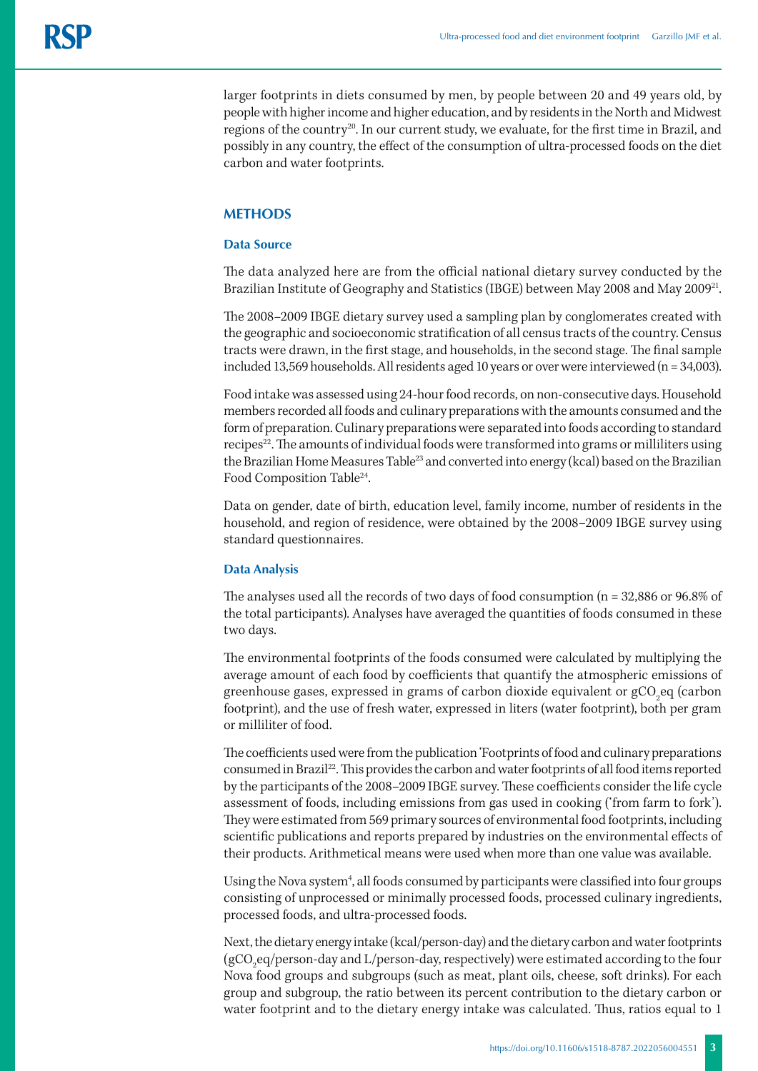larger footprints in diets consumed by men, by people between 20 and 49 years old, by people with higher income and higher education, and by residents in the North and Midwest regions of the country<sup>20</sup>. In our current study, we evaluate, for the first time in Brazil, and possibly in any country, the effect of the consumption of ultra-processed foods on the diet carbon and water footprints.

#### **METHODS**

#### **Data Source**

The data analyzed here are from the official national dietary survey conducted by the Brazilian Institute of Geography and Statistics (IBGE) between May 2008 and May 2009<sup>21</sup>.

The 2008–2009 IBGE dietary survey used a sampling plan by conglomerates created with the geographic and socioeconomic stratification of all census tracts of the country. Census tracts were drawn, in the first stage, and households, in the second stage. The final sample included 13,569 households. All residents aged 10 years or over were interviewed (n = 34,003).

Food intake was assessed using 24-hour food records, on non-consecutive days. Household members recorded all foods and culinary preparations with the amounts consumed and the form of preparation. Culinary preparations were separated into foods according to standard recipes<sup>22</sup>. The amounts of individual foods were transformed into grams or milliliters using the Brazilian Home Measures Table<sup>23</sup> and converted into energy (kcal) based on the Brazilian Food Composition Table<sup>24</sup>.

Data on gender, date of birth, education level, family income, number of residents in the household, and region of residence, were obtained by the 2008–2009 IBGE survey using standard questionnaires.

#### **Data Analysis**

The analyses used all the records of two days of food consumption (n = 32,886 or 96.8% of the total participants). Analyses have averaged the quantities of foods consumed in these two days.

The environmental footprints of the foods consumed were calculated by multiplying the average amount of each food by coefficients that quantify the atmospheric emissions of greenhouse gases, expressed in grams of carbon dioxide equivalent or gCO<sub>2</sub>eq (carbon footprint), and the use of fresh water, expressed in liters (water footprint), both per gram or milliliter of food.

The coefficients used were from the publication 'Footprints of food and culinary preparations consumed in Brazil22. This provides the carbon and water footprints of all food items reported by the participants of the 2008–2009 IBGE survey. These coefficients consider the life cycle assessment of foods, including emissions from gas used in cooking ('from farm to fork'). They were estimated from 569 primary sources of environmental food footprints, including scientific publications and reports prepared by industries on the environmental effects of their products. Arithmetical means were used when more than one value was available.

Using the Nova system<sup>4</sup>, all foods consumed by participants were classified into four groups consisting of unprocessed or minimally processed foods, processed culinary ingredients, processed foods, and ultra-processed foods.

Next, the dietary energy intake (kcal/person-day) and the dietary carbon and water footprints (gCO<sub>2</sub>eq/person-day and L/person-day, respectively) were estimated according to the four Nova food groups and subgroups (such as meat, plant oils, cheese, soft drinks). For each group and subgroup, the ratio between its percent contribution to the dietary carbon or water footprint and to the dietary energy intake was calculated. Thus, ratios equal to 1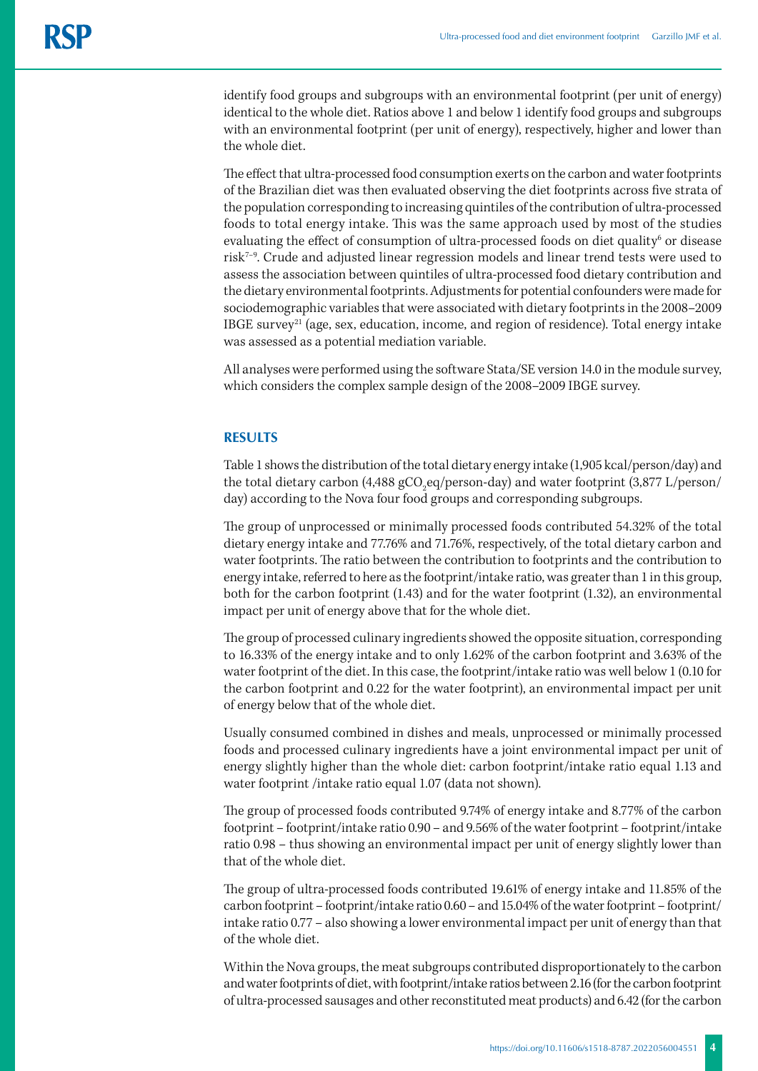identify food groups and subgroups with an environmental footprint (per unit of energy) identical to the whole diet. Ratios above 1 and below 1 identify food groups and subgroups with an environmental footprint (per unit of energy), respectively, higher and lower than the whole diet.

The effect that ultra-processed food consumption exerts on the carbon and water footprints of the Brazilian diet was then evaluated observing the diet footprints across five strata of the population corresponding to increasing quintiles of the contribution of ultra-processed foods to total energy intake. This was the same approach used by most of the studies evaluating the effect of consumption of ultra-processed foods on diet quality<sup>6</sup> or disease risk7–9. Crude and adjusted linear regression models and linear trend tests were used to assess the association between quintiles of ultra-processed food dietary contribution and the dietary environmental footprints. Adjustments for potential confounders were made for sociodemographic variables that were associated with dietary footprints in the 2008–2009 IBGE survey<sup>21</sup> (age, sex, education, income, and region of residence). Total energy intake was assessed as a potential mediation variable.

All analyses were performed using the software Stata/SE version 14.0 in the module survey, which considers the complex sample design of the 2008–2009 IBGE survey.

### **RESULTS**

Table 1 shows the distribution of the total dietary energy intake (1,905 kcal/person/day) and the total dietary carbon (4,488 gCO<sub>2</sub>eq/person-day) and water footprint (3,877 L/person/ day) according to the Nova four food groups and corresponding subgroups.

The group of unprocessed or minimally processed foods contributed 54.32% of the total dietary energy intake and 77.76% and 71.76%, respectively, of the total dietary carbon and water footprints. The ratio between the contribution to footprints and the contribution to energy intake, referred to here as the footprint/intake ratio, was greater than 1 in this group, both for the carbon footprint (1.43) and for the water footprint (1.32), an environmental impact per unit of energy above that for the whole diet.

The group of processed culinary ingredients showed the opposite situation, corresponding to 16.33% of the energy intake and to only 1.62% of the carbon footprint and 3.63% of the water footprint of the diet. In this case, the footprint/intake ratio was well below 1 (0.10 for the carbon footprint and 0.22 for the water footprint), an environmental impact per unit of energy below that of the whole diet.

Usually consumed combined in dishes and meals, unprocessed or minimally processed foods and processed culinary ingredients have a joint environmental impact per unit of energy slightly higher than the whole diet: carbon footprint/intake ratio equal 1.13 and water footprint /intake ratio equal 1.07 (data not shown).

The group of processed foods contributed 9.74% of energy intake and 8.77% of the carbon footprint – footprint/intake ratio 0.90 – and 9.56% of the water footprint – footprint/intake ratio 0.98 – thus showing an environmental impact per unit of energy slightly lower than that of the whole diet.

The group of ultra-processed foods contributed 19.61% of energy intake and 11.85% of the carbon footprint – footprint/intake ratio 0.60 – and 15.04% of the water footprint – footprint/ intake ratio 0.77 – also showing a lower environmental impact per unit of energy than that of the whole diet.

Within the Nova groups, the meat subgroups contributed disproportionately to the carbon and water footprints of diet, with footprint/intake ratios between 2.16 (for the carbon footprint of ultra-processed sausages and other reconstituted meat products) and 6.42 (for the carbon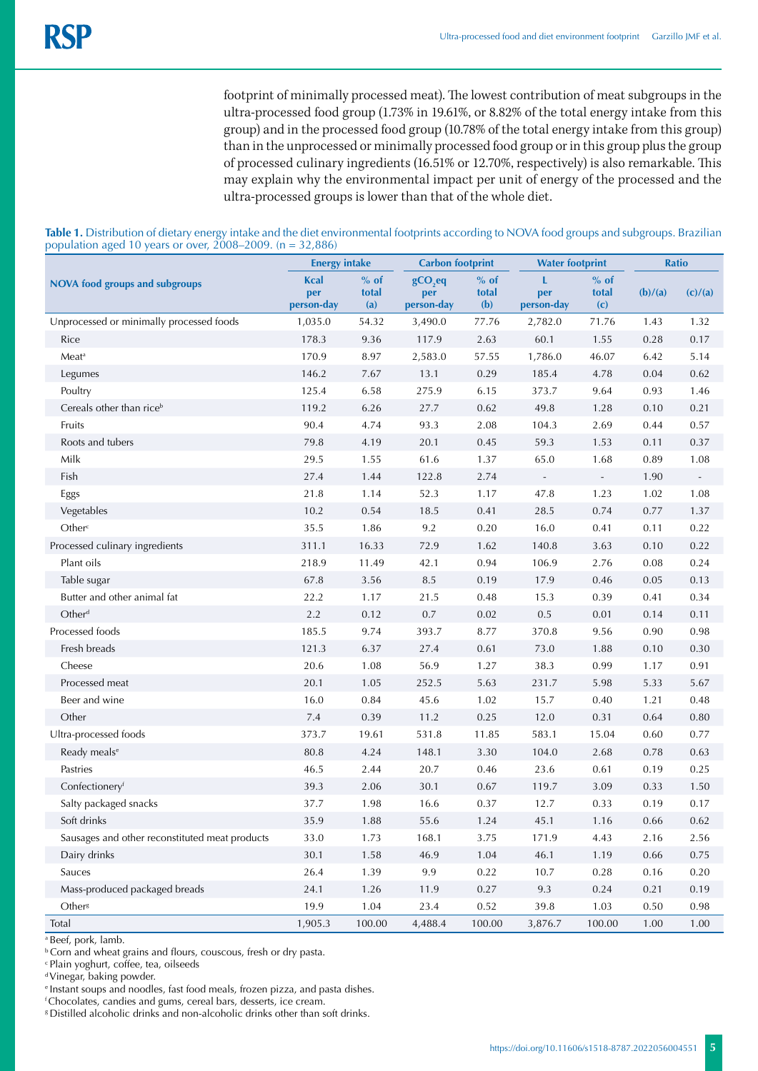footprint of minimally processed meat). The lowest contribution of meat subgroups in the ultra-processed food group (1.73% in 19.61%, or 8.82% of the total energy intake from this group) and in the processed food group (10.78% of the total energy intake from this group) than in the unprocessed or minimally processed food group or in this group plus the group of processed culinary ingredients (16.51% or 12.70%, respectively) is also remarkable. This may explain why the environmental impact per unit of energy of the processed and the ultra-processed groups is lower than that of the whole diet.

|                                                | <b>Energy intake</b>             |                        | <b>Carbon footprint</b>        |                        | <b>Water footprint</b>   |                          | <b>Ratio</b> |         |
|------------------------------------------------|----------------------------------|------------------------|--------------------------------|------------------------|--------------------------|--------------------------|--------------|---------|
| <b>NOVA food groups and subgroups</b>          | <b>Kcal</b><br>per<br>person-day | $%$ of<br>total<br>(a) | $gCO2$ eq<br>per<br>person-day | $%$ of<br>total<br>(b) | L<br>per<br>person-day   | $%$ of<br>total<br>(c)   | (b)/(a)      | (c)/(a) |
| Unprocessed or minimally processed foods       | 1,035.0                          | 54.32                  | 3,490.0                        | 77.76                  | 2,782.0                  | 71.76                    | 1.43         | 1.32    |
| Rice                                           | 178.3                            | 9.36                   | 117.9                          | 2.63                   | 60.1                     | 1.55                     | 0.28         | 0.17    |
| Meat <sup>a</sup>                              | 170.9                            | 8.97                   | 2,583.0                        | 57.55                  | 1,786.0                  | 46.07                    | 6.42         | 5.14    |
| Legumes                                        | 146.2                            | 7.67                   | 13.1                           | 0.29                   | 185.4                    | 4.78                     | 0.04         | 0.62    |
| Poultry                                        | 125.4                            | 6.58                   | 275.9                          | 6.15                   | 373.7                    | 9.64                     | 0.93         | 1.46    |
| Cereals other than rice <sup>b</sup>           | 119.2                            | 6.26                   | 27.7                           | 0.62                   | 49.8                     | 1.28                     | 0.10         | 0.21    |
| Fruits                                         | 90.4                             | 4.74                   | 93.3                           | 2.08                   | 104.3                    | 2.69                     | 0.44         | 0.57    |
| Roots and tubers                               | 79.8                             | 4.19                   | 20.1                           | 0.45                   | 59.3                     | 1.53                     | 0.11         | 0.37    |
| Milk                                           | 29.5                             | 1.55                   | 61.6                           | 1.37                   | 65.0                     | 1.68                     | 0.89         | 1.08    |
| Fish                                           | 27.4                             | 1.44                   | 122.8                          | 2.74                   | $\overline{\phantom{a}}$ | $\overline{\phantom{a}}$ | 1.90         | $\sim$  |
| Eggs                                           | 21.8                             | 1.14                   | 52.3                           | 1.17                   | 47.8                     | 1.23                     | 1.02         | 1.08    |
| Vegetables                                     | 10.2                             | 0.54                   | 18.5                           | 0.41                   | 28.5                     | 0.74                     | 0.77         | 1.37    |
| Other <sup>c</sup>                             | 35.5                             | 1.86                   | $9.2\,$                        | 0.20                   | 16.0                     | 0.41                     | 0.11         | 0.22    |
| Processed culinary ingredients                 | 311.1                            | 16.33                  | 72.9                           | 1.62                   | 140.8                    | 3.63                     | 0.10         | 0.22    |
| Plant oils                                     | 218.9                            | 11.49                  | 42.1                           | 0.94                   | 106.9                    | 2.76                     | 0.08         | 0.24    |
| Table sugar                                    | 67.8                             | 3.56                   | 8.5                            | 0.19                   | 17.9                     | 0.46                     | 0.05         | 0.13    |
| Butter and other animal fat                    | 22.2                             | 1.17                   | 21.5                           | 0.48                   | 15.3                     | 0.39                     | 0.41         | 0.34    |
| Other <sup>d</sup>                             | 2.2                              | 0.12                   | $0.7\,$                        | 0.02                   | 0.5                      | 0.01                     | 0.14         | 0.11    |
| Processed foods                                | 185.5                            | 9.74                   | 393.7                          | 8.77                   | 370.8                    | 9.56                     | 0.90         | 0.98    |
| Fresh breads                                   | 121.3                            | 6.37                   | 27.4                           | 0.61                   | 73.0                     | 1.88                     | 0.10         | 0.30    |
| Cheese                                         | 20.6                             | 1.08                   | 56.9                           | 1.27                   | 38.3                     | 0.99                     | 1.17         | 0.91    |
| Processed meat                                 | 20.1                             | 1.05                   | 252.5                          | 5.63                   | 231.7                    | 5.98                     | 5.33         | 5.67    |
| Beer and wine                                  | 16.0                             | 0.84                   | 45.6                           | 1.02                   | 15.7                     | 0.40                     | 1.21         | 0.48    |
| Other                                          | 7.4                              | 0.39                   | 11.2                           | 0.25                   | 12.0                     | 0.31                     | 0.64         | 0.80    |
| Ultra-processed foods                          | 373.7                            | 19.61                  | 531.8                          | 11.85                  | 583.1                    | 15.04                    | 0.60         | 0.77    |
| Ready meals <sup>e</sup>                       | 80.8                             | 4.24                   | 148.1                          | 3.30                   | 104.0                    | 2.68                     | 0.78         | 0.63    |
| Pastries                                       | 46.5                             | 2.44                   | 20.7                           | 0.46                   | 23.6                     | 0.61                     | 0.19         | 0.25    |
| Confectioneryf                                 | 39.3                             | 2.06                   | 30.1                           | 0.67                   | 119.7                    | 3.09                     | 0.33         | 1.50    |
| Salty packaged snacks                          | 37.7                             | 1.98                   | 16.6                           | 0.37                   | 12.7                     | 0.33                     | 0.19         | 0.17    |
| Soft drinks                                    | 35.9                             | 1.88                   | 55.6                           | 1.24                   | 45.1                     | 1.16                     | 0.66         | 0.62    |
| Sausages and other reconstituted meat products | 33.0                             | 1.73                   | 168.1                          | 3.75                   | 171.9                    | 4.43                     | 2.16         | 2.56    |
| Dairy drinks                                   | 30.1                             | 1.58                   | 46.9                           | 1.04                   | 46.1                     | 1.19                     | 0.66         | 0.75    |
| Sauces                                         | 26.4                             | 1.39                   | 9.9                            | 0.22                   | 10.7                     | 0.28                     | 0.16         | 0.20    |
| Mass-produced packaged breads                  | 24.1                             | 1.26                   | 11.9                           | 0.27                   | $9.3\,$                  | 0.24                     | 0.21         | 0.19    |
| Other <sup>8</sup>                             | 19.9                             | 1.04                   | 23.4                           | 0.52                   | 39.8                     | 1.03                     | 0.50         | 0.98    |
| Total                                          | 1,905.3                          | 100.00                 | 4,488.4                        | 100.00                 | 3,876.7                  | 100.00                   | 1.00         | 1.00    |

| Table 1. Distribution of dietary energy intake and the diet environmental footprints according to NOVA food groups and subgroups. Brazilian |  |
|---------------------------------------------------------------------------------------------------------------------------------------------|--|
| population aged 10 years or over, $2008-2009$ . (n = 32,886)                                                                                |  |

<sup>a</sup> Beef, pork, lamb.

**b** Corn and wheat grains and flours, couscous, fresh or dry pasta.

c Plain yoghurt, coffee, tea, oilseeds

d Vinegar, baking powder.

e Instant soups and noodles, fast food meals, frozen pizza, and pasta dishes.

f Chocolates, candies and gums, cereal bars, desserts, ice cream.

<sup>8</sup> Distilled alcoholic drinks and non-alcoholic drinks other than soft drinks.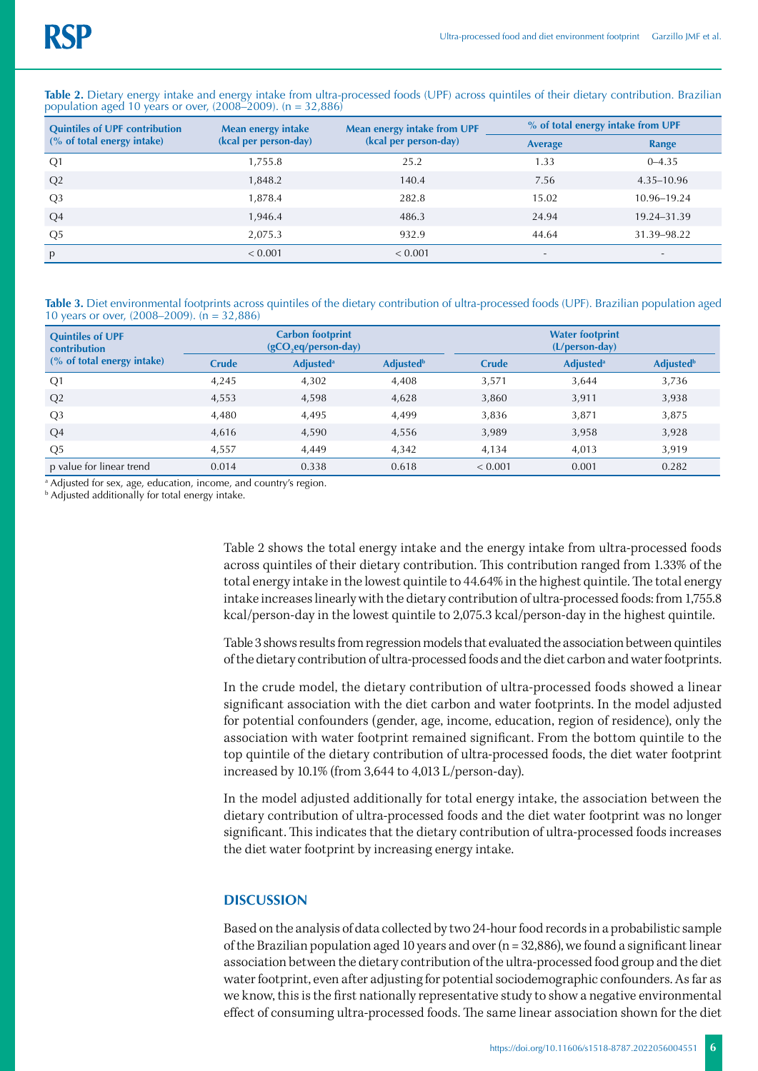| <b>Quintiles of UPF contribution</b><br>(% of total energy intake) | <b>Mean energy intake</b><br>(kcal per person-day) | Mean energy intake from UPF | % of total energy intake from UPF |                          |  |
|--------------------------------------------------------------------|----------------------------------------------------|-----------------------------|-----------------------------------|--------------------------|--|
|                                                                    |                                                    | (kcal per person-day)       | <b>Average</b>                    | Range                    |  |
| Q <sub>1</sub>                                                     | 1,755.8                                            | 25.2                        | 1.33                              | $0 - 4.35$               |  |
| Q2                                                                 | 1,848.2                                            | 140.4                       | 7.56                              | 4.35–10.96               |  |
| Q <sub>3</sub>                                                     | 1,878.4                                            | 282.8                       | 15.02                             | 10.96-19.24              |  |
| Q <sub>4</sub>                                                     | 1,946.4                                            | 486.3                       | 24.94                             | 19.24-31.39              |  |
| Q5                                                                 | 2,075.3                                            | 932.9                       | 44.64                             | 31.39–98.22              |  |
| p                                                                  | < 0.001                                            | < 0.001                     | $\sim$                            | $\overline{\phantom{a}}$ |  |

Table 2. Dietary energy intake and energy intake from ultra-processed foods (UPF) across quintiles of their dietary contribution. Brazilian population aged 10 years or over,  $(2008-2009)$ . (n = 32,886)

**Table 3.** Diet environmental footprints across quintiles of the dietary contribution of ultra-processed foods (UPF). Brazilian population aged 10 years or over, (2008–2009). (n = 32,886)

| <b>Quintiles of UPF</b><br><b>contribution</b> |              | <b>Carbon footprint</b><br>$(gCO, eq/person-day)$ |                              | <b>Water footprint</b><br>$(L/person-day)$ |                              |                              |  |
|------------------------------------------------|--------------|---------------------------------------------------|------------------------------|--------------------------------------------|------------------------------|------------------------------|--|
| (% of total energy intake)                     | <b>Crude</b> | <b>Adjusted</b> <sup>a</sup>                      | <b>Adjusted</b> <sup>b</sup> | <b>Crude</b>                               | <b>Adjusted</b> <sup>a</sup> | <b>Adjusted</b> <sup>b</sup> |  |
| Q1                                             | 4.245        | 4.302                                             | 4.408                        | 3,571                                      | 3.644                        | 3,736                        |  |
| Q2                                             | 4,553        | 4,598                                             | 4,628                        | 3,860                                      | 3,911                        | 3,938                        |  |
| Q <sub>3</sub>                                 | 4.480        | 4,495                                             | 4,499                        | 3.836                                      | 3.871                        | 3,875                        |  |
| Q4                                             | 4,616        | 4,590                                             | 4,556                        | 3,989                                      | 3,958                        | 3,928                        |  |
| Q <sub>5</sub>                                 | 4,557        | 4.449                                             | 4.342                        | 4,134                                      | 4.013                        | 3,919                        |  |
| p value for linear trend                       | 0.014        | 0.338                                             | 0.618                        | < 0.001                                    | 0.001                        | 0.282                        |  |

a Adjusted for sex, age, education, income, and country's region.

b Adjusted additionally for total energy intake.

Table 2 shows the total energy intake and the energy intake from ultra-processed foods across quintiles of their dietary contribution. This contribution ranged from 1.33% of the total energy intake in the lowest quintile to 44.64% in the highest quintile. The total energy intake increases linearly with the dietary contribution of ultra-processed foods: from 1,755.8 kcal/person-day in the lowest quintile to 2,075.3 kcal/person-day in the highest quintile.

Table 3 shows results from regression models that evaluated the association between quintiles of the dietary contribution of ultra-processed foods and the diet carbon and water footprints.

In the crude model, the dietary contribution of ultra-processed foods showed a linear significant association with the diet carbon and water footprints. In the model adjusted for potential confounders (gender, age, income, education, region of residence), only the association with water footprint remained significant. From the bottom quintile to the top quintile of the dietary contribution of ultra-processed foods, the diet water footprint increased by 10.1% (from 3,644 to 4,013 L/person-day).

In the model adjusted additionally for total energy intake, the association between the dietary contribution of ultra-processed foods and the diet water footprint was no longer significant. This indicates that the dietary contribution of ultra-processed foods increases the diet water footprint by increasing energy intake.

#### **DISCUSSION**

Based on the analysis of data collected by two 24-hour food records in a probabilistic sample of the Brazilian population aged 10 years and over  $(n = 32,886)$ , we found a significant linear association between the dietary contribution of the ultra-processed food group and the diet water footprint, even after adjusting for potential sociodemographic confounders. As far as we know, this is the first nationally representative study to show a negative environmental effect of consuming ultra-processed foods. The same linear association shown for the diet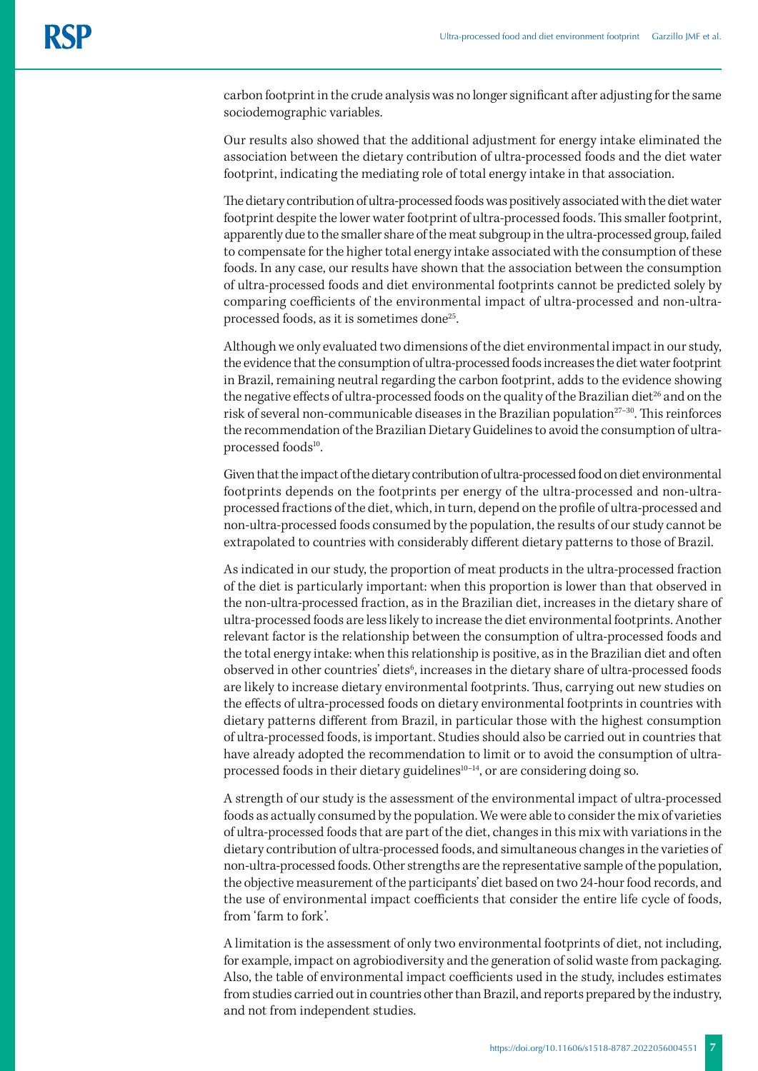carbon footprint in the crude analysis was no longer significant after adjusting for the same sociodemographic variables.

Our results also showed that the additional adjustment for energy intake eliminated the association between the dietary contribution of ultra-processed foods and the diet water footprint, indicating the mediating role of total energy intake in that association.

The dietary contribution of ultra-processed foods was positively associated with the diet water footprint despite the lower water footprint of ultra-processed foods. This smaller footprint, apparently due to the smaller share of the meat subgroup in the ultra-processed group, failed to compensate for the higher total energy intake associated with the consumption of these foods. In any case, our results have shown that the association between the consumption of ultra-processed foods and diet environmental footprints cannot be predicted solely by comparing coefficients of the environmental impact of ultra-processed and non-ultraprocessed foods, as it is sometimes done<sup>25</sup>.

Although we only evaluated two dimensions of the diet environmental impact in our study, the evidence that the consumption of ultra-processed foods increases the diet water footprint in Brazil, remaining neutral regarding the carbon footprint, adds to the evidence showing the negative effects of ultra-processed foods on the quality of the Brazilian diet<sup>26</sup> and on the risk of several non-communicable diseases in the Brazilian population<sup>27-30</sup>. This reinforces the recommendation of the Brazilian Dietary Guidelines to avoid the consumption of ultraprocessed foods<sup>10</sup>.

Given that the impact of the dietary contribution of ultra-processed food on diet environmental footprints depends on the footprints per energy of the ultra-processed and non-ultraprocessed fractions of the diet, which, in turn, depend on the profile of ultra-processed and non-ultra-processed foods consumed by the population, the results of our study cannot be extrapolated to countries with considerably different dietary patterns to those of Brazil.

As indicated in our study, the proportion of meat products in the ultra-processed fraction of the diet is particularly important: when this proportion is lower than that observed in the non-ultra-processed fraction, as in the Brazilian diet, increases in the dietary share of ultra-processed foods are less likely to increase the diet environmental footprints. Another relevant factor is the relationship between the consumption of ultra-processed foods and the total energy intake: when this relationship is positive, as in the Brazilian diet and often observed in other countries' diets<sup>6</sup>, increases in the dietary share of ultra-processed foods are likely to increase dietary environmental footprints. Thus, carrying out new studies on the effects of ultra-processed foods on dietary environmental footprints in countries with dietary patterns different from Brazil, in particular those with the highest consumption of ultra-processed foods, is important. Studies should also be carried out in countries that have already adopted the recommendation to limit or to avoid the consumption of ultraprocessed foods in their dietary guidelines<sup>10-14</sup>, or are considering doing so.

A strength of our study is the assessment of the environmental impact of ultra-processed foods as actually consumed by the population. We were able to consider the mix of varieties of ultra-processed foods that are part of the diet, changes in this mix with variations in the dietary contribution of ultra-processed foods, and simultaneous changes in the varieties of non-ultra-processed foods. Other strengths are the representative sample of the population, the objective measurement of the participants' diet based on two 24-hour food records, and the use of environmental impact coefficients that consider the entire life cycle of foods, from 'farm to fork'.

A limitation is the assessment of only two environmental footprints of diet, not including, for example, impact on agrobiodiversity and the generation of solid waste from packaging. Also, the table of environmental impact coefficients used in the study, includes estimates from studies carried out in countries other than Brazil, and reports prepared by the industry, and not from independent studies.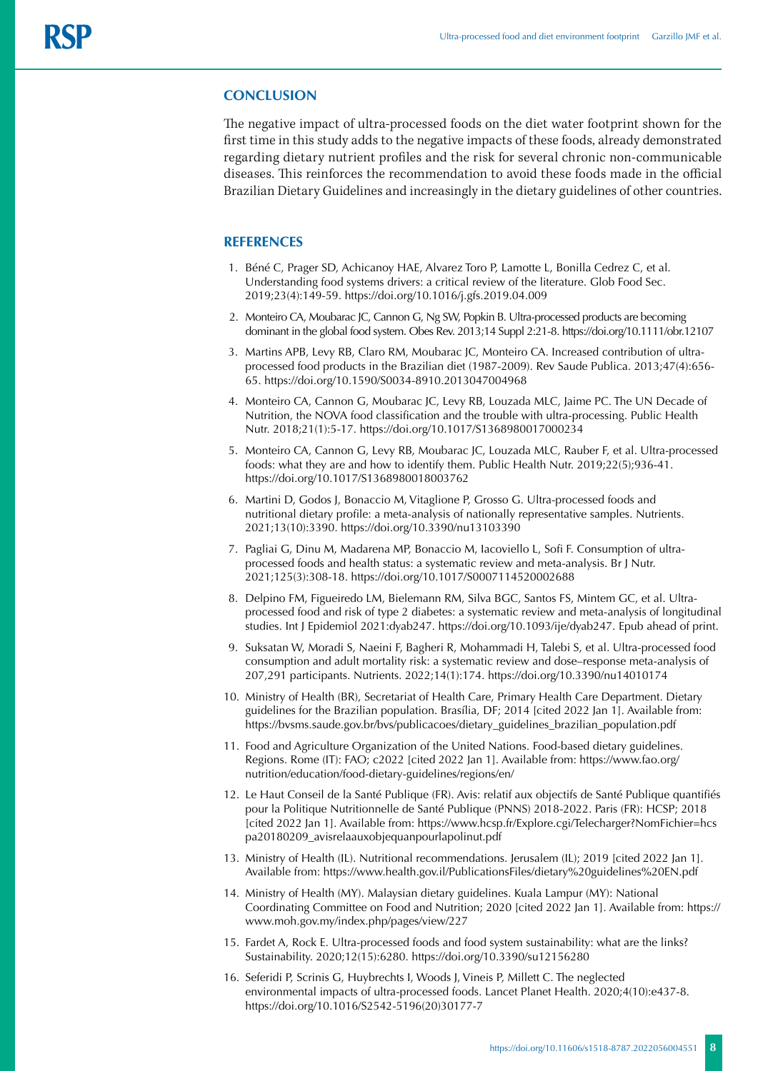#### **CONCLUSION**

The negative impact of ultra-processed foods on the diet water footprint shown for the first time in this study adds to the negative impacts of these foods, already demonstrated regarding dietary nutrient profiles and the risk for several chronic non-communicable diseases. This reinforces the recommendation to avoid these foods made in the official Brazilian Dietary Guidelines and increasingly in the dietary guidelines of other countries.

#### **REFERENCES**

- 1. Béné C, Prager SD, Achicanoy HAE, Alvarez Toro P, Lamotte L, Bonilla Cedrez C, et al. Understanding food systems drivers: a critical review of the literature. Glob Food Sec. 2019;23(4):149-59. <https://doi.org/10.1016/j.gfs.2019.04.009>
- 2. Monteiro CA, Moubarac JC, Cannon G, Ng SW, Popkin B. Ultra-processed products are becoming dominant in the global food system. Obes Rev. 2013;14 Suppl 2:21-8. https://doi.org/10.1111/obr.12107
- 3. Martins APB, Levy RB, Claro RM, Moubarac JC, Monteiro CA. Increased contribution of ultraprocessed food products in the Brazilian diet (1987-2009). Rev Saude Publica. 2013;47(4):656- 65. <https://doi.org/10.1590/S0034-8910.2013047004968>
- 4. Monteiro CA, Cannon G, Moubarac JC, Levy RB, Louzada MLC, Jaime PC. The UN Decade of Nutrition, the NOVA food classification and the trouble with ultra-processing. Public Health Nutr. 2018;21(1):5-17. <https://doi.org/10.1017/S1368980017000234>
- 5. Monteiro CA, Cannon G, Levy RB, Moubarac JC, Louzada MLC, Rauber F, et al. Ultra-processed foods: what they are and how to identify them. Public Health Nutr. 2019;22(5);936-41. <https://doi.org/10.1017/S1368980018003762>
- 6. Martini D, Godos J, Bonaccio M, Vitaglione P, Grosso G. Ultra-processed foods and nutritional dietary profile: a meta-analysis of nationally representative samples. Nutrients. 2021;13(10):3390. https://doi.org/10.3390/nu13103390
- 7. Pagliai G, Dinu M, Madarena MP, Bonaccio M, Iacoviello L, Sofi F. Consumption of ultraprocessed foods and health status: a systematic review and meta-analysis. Br J Nutr. 2021;125(3):308-18. https://doi.org/10.1017/S0007114520002688
- 8. Delpino FM, Figueiredo LM, Bielemann RM, Silva BGC, Santos FS, Mintem GC, et al. Ultraprocessed food and risk of type 2 diabetes: a systematic review and meta-analysis of longitudinal studies. Int J Epidemiol 2021:dyab247.<https://doi.org/10.1093/ije/dyab247>. Epub ahead of print.
- 9. Suksatan W, Moradi S, Naeini F, Bagheri R, Mohammadi H, Talebi S, et al. Ultra-processed food consumption and adult mortality risk: a systematic review and dose–response meta-analysis of 207,291 participants. Nutrients. 2022;14(1):174.<https://doi.org/10.3390/nu14010174>
- 10. Ministry of Health (BR), Secretariat of Health Care, Primary Health Care Department. Dietary guidelines for the Brazilian population. Brasília, DF; 2014 [cited 2022 Jan 1]. Available from: [https://bvsms.saude.gov.br/bvs/publicacoes/dietary\\_guidelines\\_brazilian\\_population.pdf](https://bvsms.saude.gov.br/bvs/publicacoes/dietary_guidelines_brazilian_population.pdf)
- 11. Food and Agriculture Organization of the United Nations. Food-based dietary guidelines. Regions. Rome (IT): FAO; c2022 [cited 2022 Jan 1]. Available from: [https://www.fao.org/](https://www.fao.org/nutrition/education/food-dietary-guidelines/regions/en/) [nutrition/education/food-dietary-guidelines/regions/en/](https://www.fao.org/nutrition/education/food-dietary-guidelines/regions/en/)
- 12. Le Haut Conseil de la Santé Publique (FR). Avis: relatif aux objectifs de Santé Publique quantifiés pour la Politique Nutritionnelle de Santé Publique (PNNS) 2018-2022. Paris (FR): HCSP; 2018 [cited 2022 Jan 1]. Available from: https://www.hcsp.fr/Explore.cgi/Telecharger?NomFichier=hcs pa20180209\_avisrelaauxobjequanpourlapolinut.pdf
- 13. Ministry of Health (IL). Nutritional recommendations. Jerusalem (IL); 2019 [cited 2022 Jan 1]. Available from: [https://www.health.gov.il/PublicationsFiles/dietary%20guidelines%20EN.pdf](https://www.health.gov.il/PublicationsFiles/dietary guidelines EN.pdf)
- 14. Ministry of Health (MY). Malaysian dietary guidelines. Kuala Lampur (MY): National Coordinating Committee on Food and Nutrition; 2020 [cited 2022 Jan 1]. Available from: https:// www.moh.gov.my/index.php/pages/view/227
- 15. Fardet A, Rock E. Ultra-processed foods and food system sustainability: what are the links? Sustainability. 2020;12(15):6280. https://doi.org/10.3390/su12156280
- 16. Seferidi P, Scrinis G, Huybrechts I, Woods J, Vineis P, Millett C. The neglected environmental impacts of ultra-processed foods. Lancet Planet Health. 2020;4(10):e437-8. https://doi.org/10.1016/S2542-5196(20)30177-7